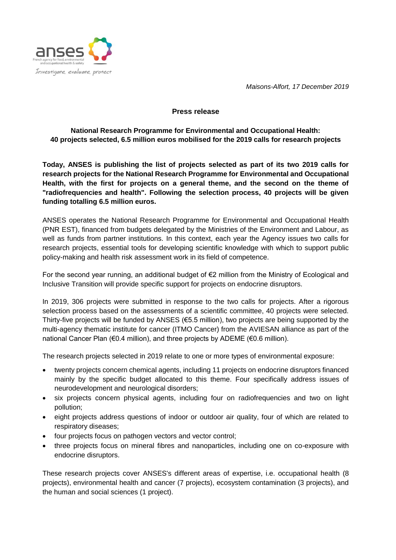



## **Press release**

**National Research Programme for Environmental and Occupational Health: 40 projects selected, 6.5 million euros mobilised for the 2019 calls for research projects**

**Today, ANSES is publishing the list of projects selected as part of its two 2019 calls for research projects for the National Research Programme for Environmental and Occupational Health, with the first for projects on a general theme, and the second on the theme of "radiofrequencies and health". Following the selection process, 40 projects will be given funding totalling 6.5 million euros.**

ANSES operates the National Research Programme for Environmental and Occupational Health (PNR EST), financed from budgets delegated by the Ministries of the Environment and Labour, as well as funds from partner institutions. In this context, each year the Agency issues two calls for research projects, essential tools for developing scientific knowledge with which to support public policy-making and health risk assessment work in its field of competence.

For the second year running, an additional budget of €2 million from the Ministry of Ecological and Inclusive Transition will provide specific support for projects on endocrine disruptors.

In 2019, 306 projects were submitted in response to the two calls for projects. After a rigorous selection process based on the assessments of a scientific committee, 40 projects were selected. Thirty-five projects will be funded by ANSES (€5.5 million), two projects are being supported by the multi-agency thematic institute for cancer (ITMO Cancer) from the AVIESAN alliance as part of the national Cancer Plan (€0.4 million), and three projects by ADEME (€0.6 million).

The research projects selected in 2019 relate to one or more types of environmental exposure:

- twenty projects concern chemical agents, including 11 projects on endocrine disruptors financed mainly by the specific budget allocated to this theme. Four specifically address issues of neurodevelopment and neurological disorders;
- six projects concern physical agents, including four on radiofrequencies and two on light pollution;
- eight projects address questions of indoor or outdoor air quality, four of which are related to respiratory diseases;
- four projects focus on pathogen vectors and vector control;
- three projects focus on mineral fibres and nanoparticles, including one on co-exposure with endocrine disruptors.

These research projects cover ANSES's different areas of expertise, i.e. occupational health (8 projects), environmental health and cancer (7 projects), ecosystem contamination (3 projects), and the human and social sciences (1 project).